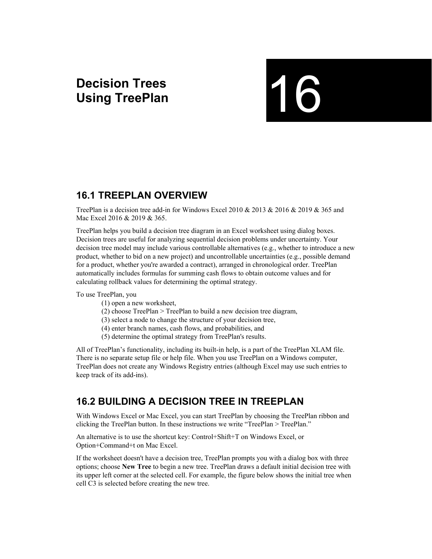# **Decision Trees Decision Trees**<br>Using TreePlan

## **16.1 TREEPLAN OVERVIEW**

TreePlan is a decision tree add-in for Windows Excel 2010 & 2013 & 2016 & 2019 & 365 and Mac Excel 2016 & 2019 & 365.

TreePlan helps you build a decision tree diagram in an Excel worksheet using dialog boxes. Decision trees are useful for analyzing sequential decision problems under uncertainty. Your decision tree model may include various controllable alternatives (e.g., whether to introduce a new product, whether to bid on a new project) and uncontrollable uncertainties (e.g., possible demand for a product, whether you're awarded a contract), arranged in chronological order. TreePlan automatically includes formulas for summing cash flows to obtain outcome values and for calculating rollback values for determining the optimal strategy.

To use TreePlan, you

- (1) open a new worksheet,
- (2) choose TreePlan > TreePlan to build a new decision tree diagram,
- (3) select a node to change the structure of your decision tree,
- (4) enter branch names, cash flows, and probabilities, and
- (5) determine the optimal strategy from TreePlan's results.

All of TreePlan's functionality, including its built-in help, is a part of the TreePlan XLAM file. There is no separate setup file or help file. When you use TreePlan on a Windows computer, TreePlan does not create any Windows Registry entries (although Excel may use such entries to keep track of its add-ins).

## **16.2 BUILDING A DECISION TREE IN TREEPLAN**

With Windows Excel or Mac Excel, you can start TreePlan by choosing the TreePlan ribbon and clicking the TreePlan button. In these instructions we write "TreePlan > TreePlan."

An alternative is to use the shortcut key: Control+Shift+T on Windows Excel, or Option+Command+t on Mac Excel.

If the worksheet doesn't have a decision tree, TreePlan prompts you with a dialog box with three options; choose **New Tree** to begin a new tree. TreePlan draws a default initial decision tree with its upper left corner at the selected cell. For example, the figure below shows the initial tree when cell C3 is selected before creating the new tree.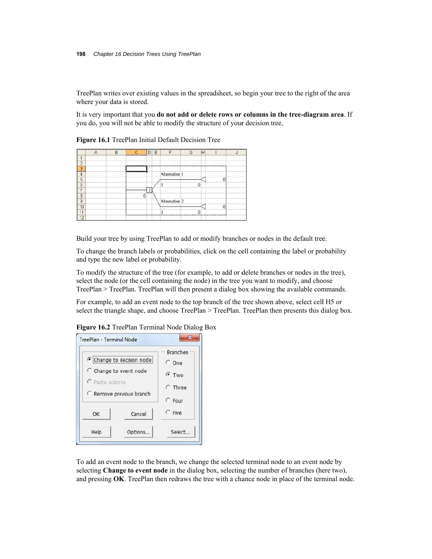TreePlan writes over existing values in the spreadsheet, so begin your tree to the right of the area where your data is stored.

It is very important that you **do not add or delete rows or columns in the tree-diagram area.** If you do, you will not be able to modify the structure of your decision tree.

| Figure 16.1 TreePlan Initial Default Decision Tree |  |  |  |
|----------------------------------------------------|--|--|--|
|                                                    |  |  |  |

|                     | в |            |   | Е |               | G | Η           |  |
|---------------------|---|------------|---|---|---------------|---|-------------|--|
|                     |   |            |   |   |               |   |             |  |
| $\overline{ }$<br>z |   |            |   |   |               |   |             |  |
| 3                   |   |            |   |   |               |   |             |  |
| 4                   |   |            |   |   | Alternative 1 |   |             |  |
| 5                   |   |            |   |   |               |   |             |  |
| 6                   |   |            |   |   |               |   | $\mathbf 0$ |  |
| 7                   |   |            |   |   |               |   |             |  |
| 8                   |   |            | 0 |   |               |   |             |  |
| 9                   |   |            |   |   | Alternative 2 |   |             |  |
| 10                  |   |            |   |   |               |   |             |  |
| $\overline{A}$      |   | ---------- |   |   |               |   |             |  |
| 12<br>÷             |   |            |   |   |               |   |             |  |

Build your tree by using TreePlan to add or modify branches or nodes in the default tree. .<br>the default tree

To change the branch labels or probabilities, click on the cell containing the label or probability and type the new label or probability.

To modify the structure of the tree (for example, to add or delete branches or nodes in the tree), select the node (or the cell containing the node) in the tree you want to modify, and choose TreePlan > TreePlan. TreePlan will then present a dialog box showing the available commands.

For example, to add an event node to the top branch of the tree shown above, select cell H5 or select the triangle shape, and choose TreePlan > TreePlan. TreePlan then presents this dialog box.

Figure 16.2 TreePlan Terminal Node Dialog Box

| C Paste subtree | Change to decision node<br>C Change to event node<br>C Remove previous branch | <b>Branches</b><br>$\cap$ One<br>G Two<br>C Three<br>$C$ Four |
|-----------------|-------------------------------------------------------------------------------|---------------------------------------------------------------|
| OK              | Cancel                                                                        | $C$ Five                                                      |
| Help            | Options                                                                       | Select                                                        |

To add an event node to the branch, we change the selected terminal node to an event node by selecting **Change to event node** in the dialog box, selecting the number of branches (here two), and pressing OK. TreePlan then redraws the tree with a chance node in place of the terminal node.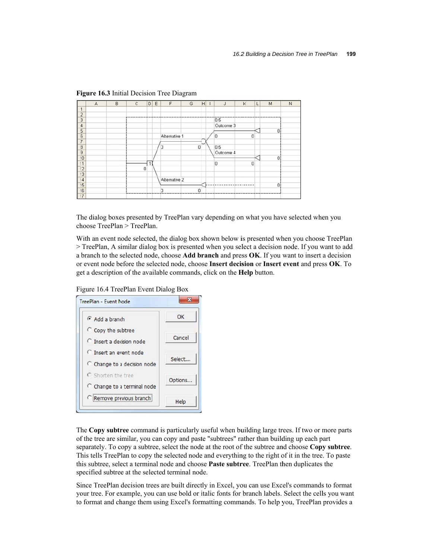|                | A | B | C | D              | E | F             | G | н           | J              | K | L | M              | N |
|----------------|---|---|---|----------------|---|---------------|---|-------------|----------------|---|---|----------------|---|
| 1              |   |   |   |                |   |               |   |             |                |   |   |                |   |
| $\overline{2}$ |   |   |   |                |   |               |   |             |                |   |   |                |   |
| $\overline{3}$ |   |   |   |                |   |               |   |             | 0.5            |   |   |                |   |
| $\sqrt{4}$     |   |   |   |                |   |               |   |             | Outcome 3      |   |   |                |   |
| 5              |   |   |   |                |   |               |   |             |                |   |   | O              |   |
| 6              |   |   |   |                |   | Alternative 1 |   |             | O              |   | 0 |                |   |
| 7              |   |   |   |                |   |               |   |             |                |   |   |                |   |
| 8              |   |   |   |                |   |               |   | $\mathbf 0$ | 0.5            |   |   |                |   |
| 9              |   |   |   |                |   |               |   |             | Outcome 4      |   |   |                |   |
| 10             |   |   |   |                |   |               |   |             |                |   |   | $\Omega$       |   |
| 11             |   |   |   |                |   |               |   |             | $\overline{0}$ |   | 0 |                |   |
| 12             |   |   |   | $\overline{0}$ |   |               |   |             |                |   |   |                |   |
| 13             |   |   |   |                |   |               |   |             |                |   |   |                |   |
| 14             |   |   |   |                |   | Alternative 2 |   |             |                |   |   |                |   |
| 15             |   |   |   |                |   |               |   |             |                |   |   | $\overline{0}$ |   |
| 16             |   |   |   |                |   |               |   | 0           |                |   |   |                |   |
| 17             |   |   |   |                |   |               |   |             |                |   |   |                |   |

Figure 16.3 Initial Decision Tree Diagram

The dialog boxes presented by TreePlan vary depending on what you have selected when you choose TreePlan > TreePlan.

With an event node selected, the dialog box shown below is presented when you choose TreePlan > TreePlan, A similar dialog box is presented when you select a decision node. If you want to add a branch to the selected node, choose Add branch and press OK. If you want to insert a decision or event node before the selected node, choose Insert decision or Insert event and press OK. To get a description of the available commands, click on the Help button.





The Copy subtree command is particularly useful when building large trees. If two or more parts of the tree are similar, you can copy and paste "subtrees" rather than building up each part separately. To copy a subtree, select the node at the root of the subtree and choose Copy subtree. This tells TreePlan to copy the selected node and everything to the right of it in the tree. To paste this subtree, select a terminal node and choose **Paste subtree**. TreePlan then duplicates the specified subtree at the selected terminal node.

Since TreePlan decision trees are built directly in Excel, you can use Excel's commands to format your tree. For example, you can use bold or italic fonts for branch labels. Select the cells you want to format and change them using Excel's formatting commands. To help you, TreePlan provides a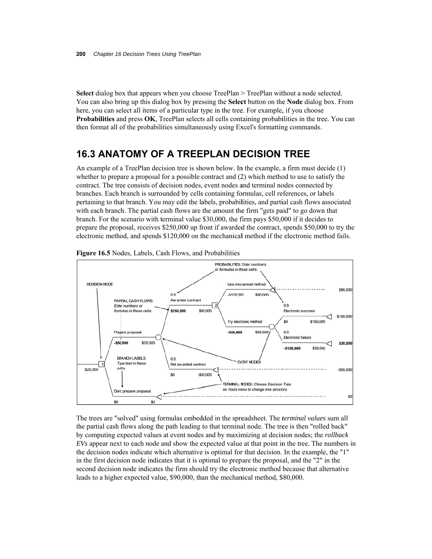Select dialog box that appears when you choose TreePlan > TreePlan without a node selected. You can also bring up this dialog box by pressing the **Select** button on the **Node** dialog box. From here, you can select all items of a particular type in the tree. For example, if you choose **Probabilities** and press OK, TreePlan selects all cells containing probabilities in the tree. You can then format all of the probabilities simultaneously using Excel's formatting commands.

## **16.3 ANATOMY OF A TREEPLAN DECISION TREE**

An example of a TreePlan decision tree is shown below. In the example, a firm must decide (1) whether to prepare a proposal for a possible contract and  $(2)$  which method to use to satisfy the contract. The tree consists of decision nodes, event nodes and terminal nodes connected by branches. Each branch is surrounded by cells containing formulas, cell references, or labels pertaining to that branch. You may edit the labels, probabilities, and partial cash flows associated with each branch. The partial cash flows are the amount the firm "gets paid" to go down that branch. For the scenario with terminal value \$30,000, the firm pays \$50,000 if it decides to prepare the proposal, receives \$250,000 up front if awarded the contract, spends \$50,000 to try the electronic method, and spends \$120,000 on the mechanical method if the electronic method fails.





The trees are "solved" using formulas embedded in the spreadsheet. The *terminal values* sum all the partial cash flows along the path leading to that terminal node. The tree is then "rolled back" by computing expected values at event nodes and by maximizing at decision nodes; the rollback EVs appear next to each node and show the expected value at that point in the tree. The numbers in the decision nodes indicate which alternative is optimal for that decision. In the example, the "1" in the first decision node indicates that it is optimal to prepare the proposal, and the "2" in the second decision node indicates the firm should try the electronic method because that alternative leads to a higher expected value, \$90,000, than the mechanical method, \$80,000.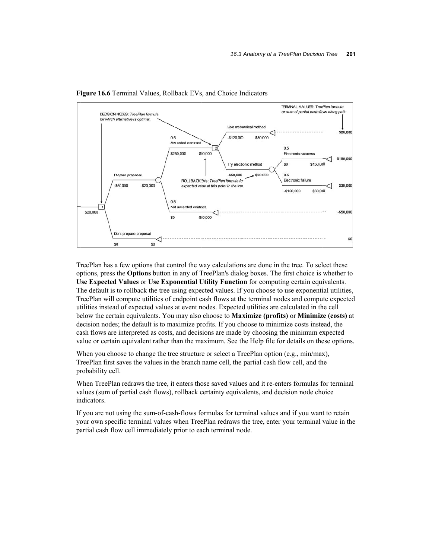

Figure 16.6 Terminal Values, Rollback EVs, and Choice Indicators

TreePlan has a few options that control the way calculations are done in the tree. To select these options, press the **Options** button in any of TreePlan's dialog boxes. The first choice is whether to Use Expected Values or Use Exponential Utility Function for computing certain equivalents. The default is to rollback the tree using expected values. If you choose to use exponential utilities, TreePlan will compute utilities of endpoint cash flows at the terminal nodes and compute expected utilities instead of expected values at event nodes. Expected utilities are calculated in the cell below the certain equivalents. You may also choose to **Maximize** (profits) or **Minimize** (costs) at decision nodes; the default is to maximize profits. If you choose to minimize costs instead, the cash flows are interpreted as costs, and decisions are made by choosing the minimum expected value or certain equivalent rather than the maximum. See the Help file for details on these options.

When you choose to change the tree structure or select a TreePlan option (e.g.,  $min/max$ ), TreePlan first saves the values in the branch name cell, the partial cash flow cell, and the probability cell.

When TreePlan redraws the tree, it enters those saved values and it re-enters formulas for terminal values (sum of partial cash flows), rollback certainty equivalents, and decision node choice indicators.

If you are not using the sum-of-cash-flows formulas for terminal values and if you want to retain your own specific terminal values when TreePlan redraws the tree, enter your terminal value in the partial cash flow cell immediately prior to each terminal node.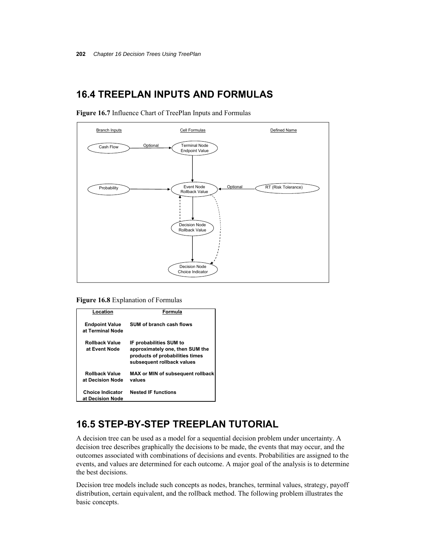## **16.4 TREEPLAN INPUTS AND FORMULAS**



**Figure 16.7** Influence Chart of TreePlan Inputs and Formulas

**Figure 16.8** Explanation of Formulas

| Location                                    | Formula                                                                                                                            |
|---------------------------------------------|------------------------------------------------------------------------------------------------------------------------------------|
| <b>Endpoint Value</b><br>at Terminal Node   | SUM of branch cash flows                                                                                                           |
| <b>Rollback Value</b><br>at Event Node      | <b>IF probabilities SUM to</b><br>approximately one, then SUM the<br>products of probabilities times<br>subsequent rollback values |
| <b>Rollback Value</b><br>at Decision Node   | MAX or MIN of subsequent rollback<br>values                                                                                        |
| <b>Choice Indicator</b><br>at Decision Node | <b>Nested IF functions</b>                                                                                                         |

## **16.5 STEP-BY-STEP TREEPLAN TUTORIAL**

A decision tree can be used as a model for a sequential decision problem under uncertainty. A decision tree describes graphically the decisions to be made, the events that may occur, and the outcomes associated with combinations of decisions and events. Probabilities are assigned to the events, and values are determined for each outcome. A major goal of the analysis is to determine the best decisions.

Decision tree models include such concepts as nodes, branches, terminal values, strategy, payoff distribution, certain equivalent, and the rollback method. The following problem illustrates the basic concepts.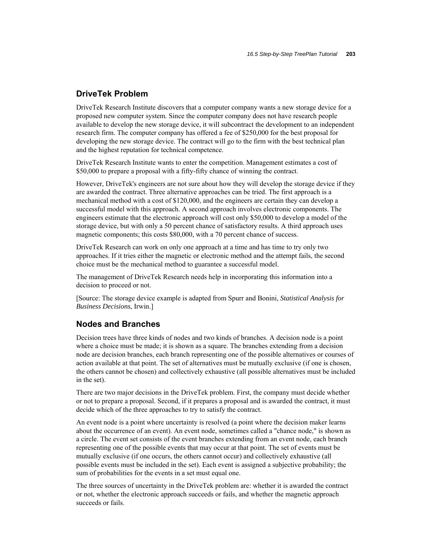#### **DriveTek Problem**

DriveTek Research Institute discovers that a computer company wants a new storage device for a proposed new computer system. Since the computer company does not have research people available to develop the new storage device, it will subcontract the development to an independent research firm. The computer company has offered a fee of \$250,000 for the best proposal for developing the new storage device. The contract will go to the firm with the best technical plan and the highest reputation for technical competence.

DriveTek Research Institute wants to enter the competition. Management estimates a cost of \$50,000 to prepare a proposal with a fifty-fifty chance of winning the contract.

However, DriveTek's engineers are not sure about how they will develop the storage device if they are awarded the contract. Three alternative approaches can be tried. The first approach is a mechanical method with a cost of \$120,000, and the engineers are certain they can develop a successful model with this approach. A second approach involves electronic components. The engineers estimate that the electronic approach will cost only \$50,000 to develop a model of the storage device, but with only a 50 percent chance of satisfactory results. A third approach uses magnetic components; this costs \$80,000, with a 70 percent chance of success.

DriveTek Research can work on only one approach at a time and has time to try only two approaches. If it tries either the magnetic or electronic method and the attempt fails, the second choice must be the mechanical method to guarantee a successful model.

The management of DriveTek Research needs help in incorporating this information into a decision to proceed or not.

[Source: The storage device example is adapted from Spurr and Bonini, *Statistical Analysis for Business Decisions*, Irwin.]

#### **Nodes and Branches**

Decision trees have three kinds of nodes and two kinds of branches. A decision node is a point where a choice must be made; it is shown as a square. The branches extending from a decision node are decision branches, each branch representing one of the possible alternatives or courses of action available at that point. The set of alternatives must be mutually exclusive (if one is chosen, the others cannot be chosen) and collectively exhaustive (all possible alternatives must be included in the set).

There are two major decisions in the DriveTek problem. First, the company must decide whether or not to prepare a proposal. Second, if it prepares a proposal and is awarded the contract, it must decide which of the three approaches to try to satisfy the contract.

An event node is a point where uncertainty is resolved (a point where the decision maker learns about the occurrence of an event). An event node, sometimes called a "chance node," is shown as a circle. The event set consists of the event branches extending from an event node, each branch representing one of the possible events that may occur at that point. The set of events must be mutually exclusive (if one occurs, the others cannot occur) and collectively exhaustive (all possible events must be included in the set). Each event is assigned a subjective probability; the sum of probabilities for the events in a set must equal one.

The three sources of uncertainty in the DriveTek problem are: whether it is awarded the contract or not, whether the electronic approach succeeds or fails, and whether the magnetic approach succeeds or fails.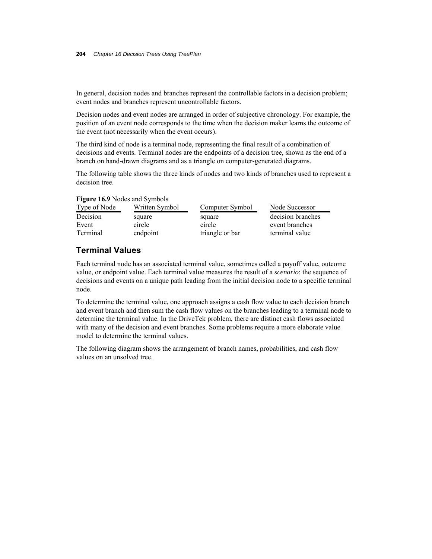In general, decision nodes and branches represent the controllable factors in a decision problem; event nodes and branches represent uncontrollable factors.

Decision nodes and event nodes are arranged in order of subjective chronology. For example, the position of an event node corresponds to the time when the decision maker learns the outcome of the event (not necessarily when the event occurs).

The third kind of node is a terminal node, representing the final result of a combination of decisions and events. Terminal nodes are the endpoints of a decision tree, shown as the end of a branch on hand-drawn diagrams and as a triangle on computer-generated diagrams.

The following table shows the three kinds of nodes and two kinds of branches used to represent a decision tree.

| <b>Figure 16.9 Nodes and Symbols</b> |                |                 |                   |
|--------------------------------------|----------------|-----------------|-------------------|
| Type of Node                         | Written Symbol | Computer Symbol | Node Successor    |
| Decision                             | square         | square          | decision branches |
| Event                                | circle         | circle          | event branches    |
| Terminal                             | endpoint       | triangle or bar | terminal value    |

## **Terminal Values**

Each terminal node has an associated terminal value, sometimes called a payoff value, outcome value, or endpoint value. Each terminal value measures the result of a *scenario*: the sequence of decisions and events on a unique path leading from the initial decision node to a specific terminal node.

To determine the terminal value, one approach assigns a cash flow value to each decision branch and event branch and then sum the cash flow values on the branches leading to a terminal node to determine the terminal value. In the DriveTek problem, there are distinct cash flows associated with many of the decision and event branches. Some problems require a more elaborate value model to determine the terminal values.

The following diagram shows the arrangement of branch names, probabilities, and cash flow values on an unsolved tree.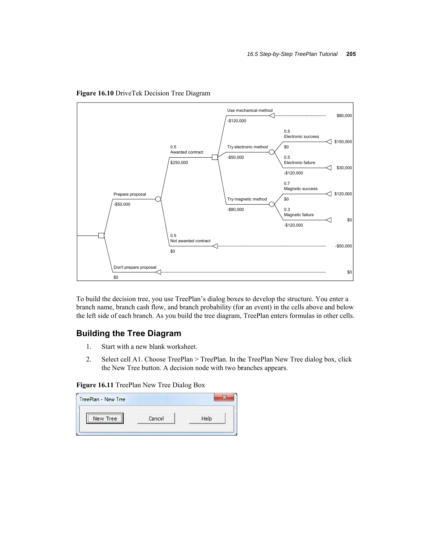



To build the decision tree, you use TreePlan's dialog boxes to develop the structure. You enter a branch name, branch cash flow, and branch probability (for an event) in the cells above and below the left side of each branch. As you build the tree diagram, TreePlan enters formulas in other cells.

## **Building the Tree Diagram**

- 1. Start with a new blank worksheet.
- 2. Select cell A1. Choose TreePlan > TreePlan. In the TreePlan New Tree dialog box, click the New Tree button. A decision node with two branches appears.

#### Figure 16.11 TreePlan New Tree Dialog Box

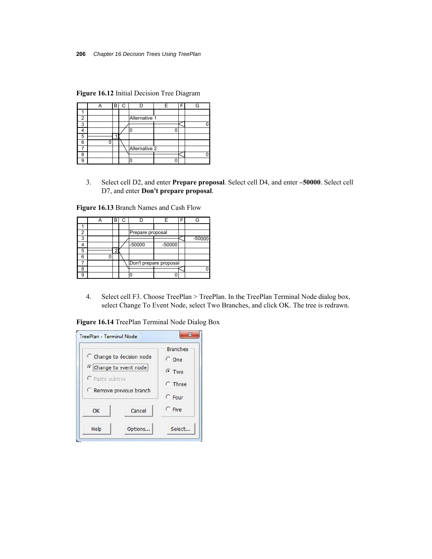|   | В | C |               | F | ↷ |
|---|---|---|---------------|---|---|
|   |   |   |               |   |   |
| 2 |   |   | Alternative 1 |   |   |
| 3 |   |   |               |   |   |
|   |   |   |               |   |   |
| 5 |   |   |               |   |   |
| 6 |   |   |               |   |   |
|   |   |   | Alternative 2 |   |   |
| 8 |   |   |               |   |   |
| g |   |   |               |   |   |

Figure 16.12 Initial Decision Tree Diagram

Select cell D2, and enter Prepare proposal. Select cell D4, and enter -50000. Select cell  $3.$ D7, and enter Don't prepare proposal.

|   | в | C |                        | E        | F | G        |
|---|---|---|------------------------|----------|---|----------|
|   |   |   |                        |          |   |          |
| 2 |   |   | Prepare proposal       |          |   |          |
| 3 |   |   |                        |          |   | $-50000$ |
|   |   |   | $-50000$               | $-50000$ |   |          |
| 5 |   |   |                        |          |   |          |
| 6 |   |   |                        |          |   |          |
|   |   |   | Don't prepare proposal |          |   |          |
| 8 |   |   |                        |          |   |          |
| 9 |   |   |                        |          |   |          |

Figure 16.13 Branch Names and Cash Flow

 $4.$ Select cell F3. Choose TreePlan > TreePlan. In the TreePlan Terminal Node dialog box, select Change To Event Node, select Two Branches, and click OK. The tree is redrawn.

Figure 16.14 TreePlan Terminal Node Dialog Box

|                 | C Change to decision node | <b>Branches</b><br>$\cap$ One |
|-----------------|---------------------------|-------------------------------|
|                 | Change to event node      | $C$ Two                       |
| C Paste subtree | C Remove previous branch  | C Three                       |
|                 |                           | $C$ Four                      |
| OK              | Cancel                    | $C$ Five                      |
| Help            | Options                   | Select                        |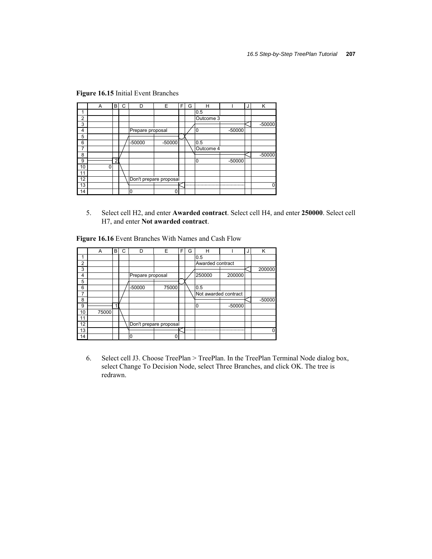|                | A | В              | С | D                | E                      | F | G | н         |          | J | ĸ        |
|----------------|---|----------------|---|------------------|------------------------|---|---|-----------|----------|---|----------|
| 4              |   |                |   |                  |                        |   |   | 0.5       |          |   |          |
| $\overline{2}$ |   |                |   |                  |                        |   |   | Outcome 3 |          |   |          |
| 3              |   |                |   |                  |                        |   |   |           |          |   | $-50000$ |
| 4              |   |                |   | Prepare proposal |                        |   |   | 0         | $-50000$ |   |          |
| 5              |   |                |   |                  |                        |   |   |           |          |   |          |
| 6              |   |                |   | $-50000$         | $-50000$               |   |   | 0.5       |          |   |          |
| 7              |   |                |   |                  |                        |   |   | Outcome 4 |          |   |          |
| 8              |   |                |   |                  |                        |   |   |           |          |   | $-50000$ |
| 9              |   | $\overline{2}$ |   |                  |                        |   |   | 0         | $-50000$ |   |          |
| 10             | O |                |   |                  |                        |   |   |           |          |   |          |
| 11             |   |                |   |                  |                        |   |   |           |          |   |          |
| 12             |   |                |   |                  | Don't prepare proposal |   |   |           |          |   |          |
| 13             |   |                |   |                  |                        |   |   |           |          |   | O        |
| 14             |   |                |   | 0                | 0                      |   |   |           |          |   |          |

**Figure 16.15** Initial Event Branches

 5. Select cell H2, and enter **Awarded contract**. Select cell H4, and enter **250000**. Select cell H7, and enter **Not awarded contract**.

**Figure 16.16** Event Branches With Names and Cash Flow

|                | A     | В | С | D                      | E     | F | G | н                    |          | J | Κ        |
|----------------|-------|---|---|------------------------|-------|---|---|----------------------|----------|---|----------|
|                |       |   |   |                        |       |   |   | 0.5                  |          |   |          |
| $\overline{2}$ |       |   |   |                        |       |   |   | Awarded contract     |          |   |          |
| 3              |       |   |   |                        |       |   |   |                      |          |   | 200000   |
| 4              |       |   |   | Prepare proposal       |       |   |   | 250000               | 200000   |   |          |
| 5              |       |   |   |                        |       |   |   |                      |          |   |          |
| 6              |       |   |   | $-50000$               | 75000 |   |   | 0.5                  |          |   |          |
| 7              |       |   |   |                        |       |   |   | Not awarded contract |          |   |          |
| 8              |       |   |   |                        |       |   |   |                      |          |   | $-50000$ |
| 9              |       |   |   |                        |       |   |   | $\Omega$             | $-50000$ |   |          |
| 10             | 75000 |   |   |                        |       |   |   |                      |          |   |          |
| 11             |       |   |   |                        |       |   |   |                      |          |   |          |
| 12             |       |   |   | Don't prepare proposal |       |   |   |                      |          |   |          |
| 13             |       |   |   |                        |       |   |   |                      |          |   | 0        |
| 14             |       |   |   | 0                      | በ     |   |   |                      |          |   |          |

 6. Select cell J3. Choose TreePlan > TreePlan. In the TreePlan Terminal Node dialog box, select Change To Decision Node, select Three Branches, and click OK. The tree is redrawn.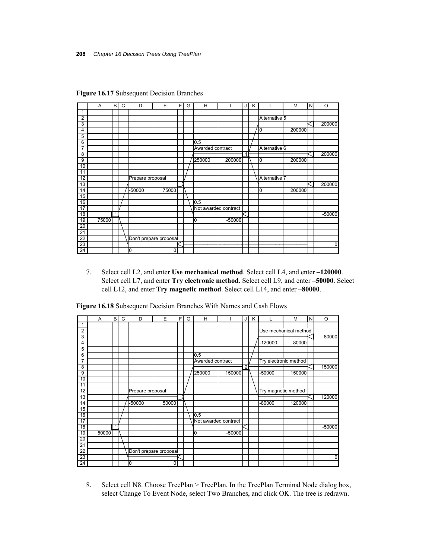|                 | A     | B | C | D                      | E     | F | G | н                    |          | J | Κ |               | M      | N | O            |
|-----------------|-------|---|---|------------------------|-------|---|---|----------------------|----------|---|---|---------------|--------|---|--------------|
| $\mathbf{1}$    |       |   |   |                        |       |   |   |                      |          |   |   |               |        |   |              |
| $\overline{2}$  |       |   |   |                        |       |   |   |                      |          |   |   | Alternative 5 |        |   |              |
| 3               |       |   |   |                        |       |   |   |                      |          |   |   |               |        |   | 200000       |
| 4               |       |   |   |                        |       |   |   |                      |          |   |   | $\mathbf 0$   | 200000 |   |              |
| 5               |       |   |   |                        |       |   |   |                      |          |   |   |               |        |   |              |
| 6               |       |   |   |                        |       |   |   | 0.5                  |          |   |   |               |        |   |              |
| $\overline{7}$  |       |   |   |                        |       |   |   | Awarded contract     |          |   |   | Alternative 6 |        |   |              |
| 8               |       |   |   |                        |       |   |   |                      |          | 1 |   |               |        |   | 200000       |
| 9               |       |   |   |                        |       |   |   | 250000               | 200000   |   |   | 0             | 200000 |   |              |
| 10              |       |   |   |                        |       |   |   |                      |          |   |   |               |        |   |              |
| 11              |       |   |   |                        |       |   |   |                      |          |   |   |               |        |   |              |
| 12              |       |   |   | Prepare proposal       |       |   |   |                      |          |   |   | Alternative 7 |        |   |              |
| 13              |       |   |   |                        |       |   |   |                      |          |   |   |               |        |   | 200000       |
| 14              |       |   |   | -50000                 | 75000 |   |   |                      |          |   |   | 0             | 200000 |   |              |
| 15              |       |   |   |                        |       |   |   |                      |          |   |   |               |        |   |              |
| 16              |       |   |   |                        |       |   |   | 0.5                  |          |   |   |               |        |   |              |
| 17              |       |   |   |                        |       |   |   | Not awarded contract |          |   |   |               |        |   |              |
| 18              |       | 1 |   |                        |       |   |   |                      |          |   |   |               |        |   | $-50000$     |
| 19              | 75000 |   |   |                        |       |   |   | 0                    | $-50000$ |   |   |               |        |   |              |
| 20              |       |   |   |                        |       |   |   |                      |          |   |   |               |        |   |              |
| 21              |       |   |   |                        |       |   |   |                      |          |   |   |               |        |   |              |
| $\overline{22}$ |       |   |   | Don't prepare proposal |       |   |   |                      |          |   |   |               |        |   |              |
| 23              |       |   |   |                        |       |   |   |                      |          |   |   |               |        |   | $\mathbf{0}$ |
| $\overline{24}$ |       |   |   | 0                      | 0     |   |   |                      |          |   |   |               |        |   |              |

**Figure 16.17** Subsequent Decision Branches

 7. Select cell L2, and enter **Use mechanical method**. Select cell L4, and enter **–120000**. Select cell L7, and enter **Try electronic method**. Select cell L9, and enter **–50000**. Select cell L12, and enter **Try magnetic method**. Select cell L14, and enter **–80000**.

**Figure 16.18** Subsequent Decision Branches With Names and Cash Flows

|    | A     | B | C | D                | E                      | F | G | н                    |          | J              | ĸ |                       | M                     | N | $\Omega$    |
|----|-------|---|---|------------------|------------------------|---|---|----------------------|----------|----------------|---|-----------------------|-----------------------|---|-------------|
| 1  |       |   |   |                  |                        |   |   |                      |          |                |   |                       |                       |   |             |
| 2  |       |   |   |                  |                        |   |   |                      |          |                |   |                       | Use mechanical method |   |             |
| 3  |       |   |   |                  |                        |   |   |                      |          |                |   |                       |                       |   | 80000       |
| 4  |       |   |   |                  |                        |   |   |                      |          |                |   | $-120000$             | 80000                 |   |             |
| 5  |       |   |   |                  |                        |   |   |                      |          |                |   |                       |                       |   |             |
| 6  |       |   |   |                  |                        |   |   | 0.5                  |          |                |   |                       |                       |   |             |
| 7  |       |   |   |                  |                        |   |   | Awarded contract     |          |                |   | Try electronic method |                       |   |             |
| 8  |       |   |   |                  |                        |   |   |                      |          | $\overline{2}$ |   |                       |                       |   | 150000      |
| 9  |       |   |   |                  |                        |   |   | 250000               | 150000   |                |   | -50000                | 150000                |   |             |
| 10 |       |   |   |                  |                        |   |   |                      |          |                |   |                       |                       |   |             |
| 11 |       |   |   |                  |                        |   |   |                      |          |                |   |                       |                       |   |             |
| 12 |       |   |   | Prepare proposal |                        |   |   |                      |          |                |   | Try magnetic method   |                       |   |             |
| 13 |       |   |   |                  |                        |   |   |                      |          |                |   |                       |                       |   | 120000      |
| 14 |       |   |   | -50000           | 50000                  |   |   |                      |          |                |   | $-80000$              | 120000                |   |             |
| 15 |       |   |   |                  |                        |   |   |                      |          |                |   |                       |                       |   |             |
| 16 |       |   |   |                  |                        |   |   | 0.5                  |          |                |   |                       |                       |   |             |
| 17 |       |   |   |                  |                        |   |   | Not awarded contract |          |                |   |                       |                       |   |             |
| 18 |       | 1 |   |                  |                        |   |   |                      |          |                |   |                       |                       |   | $-50000$    |
| 19 | 50000 |   |   |                  |                        |   |   | l0                   | $-50000$ |                |   |                       |                       |   |             |
| 20 |       |   |   |                  |                        |   |   |                      |          |                |   |                       |                       |   |             |
| 21 |       |   |   |                  |                        |   |   |                      |          |                |   |                       |                       |   |             |
| 22 |       |   |   |                  | Don't prepare proposal |   |   |                      |          |                |   |                       |                       |   |             |
| 23 |       |   |   |                  |                        |   |   |                      |          |                |   |                       |                       |   | $\mathbf 0$ |
| 24 |       |   |   | $\mathbf 0$      | 0                      |   |   |                      |          |                |   |                       |                       |   |             |

 8. Select cell N8. Choose TreePlan > TreePlan. In the TreePlan Terminal Node dialog box, select Change To Event Node, select Two Branches, and click OK. The tree is redrawn.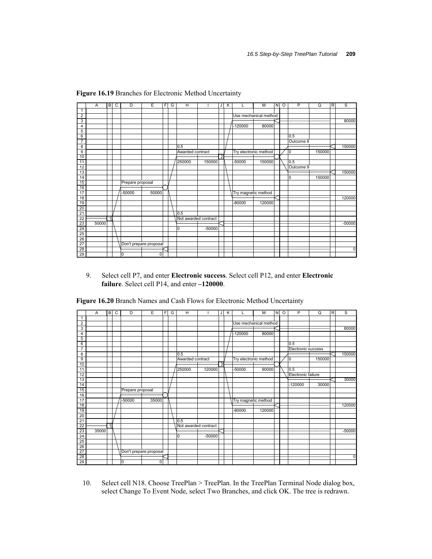|                | A     | B       | $\overline{c}$ | D                | Ε                      | F | G | $\overline{H}$       |          | J              | $\overline{\mathsf{K}}$ | L                     | M      | Z | $\overline{0}$ | P         | Q      | $\overline{R}$ | s           |
|----------------|-------|---------|----------------|------------------|------------------------|---|---|----------------------|----------|----------------|-------------------------|-----------------------|--------|---|----------------|-----------|--------|----------------|-------------|
| 1              |       |         |                |                  |                        |   |   |                      |          |                |                         |                       |        |   |                |           |        |                |             |
| $\overline{2}$ |       |         |                |                  |                        |   |   |                      |          |                |                         | Use mechanical method |        |   |                |           |        |                |             |
| 3              |       |         |                |                  |                        |   |   |                      |          |                |                         |                       |        |   |                |           |        |                | 80000       |
| 4              |       |         |                |                  |                        |   |   |                      |          |                |                         | -120000               | 80000  |   |                |           |        |                |             |
| 5              |       |         |                |                  |                        |   |   |                      |          |                |                         |                       |        |   |                |           |        |                |             |
| 6              |       |         |                |                  |                        |   |   |                      |          |                |                         |                       |        |   |                | 0.5       |        |                |             |
| $\overline{7}$ |       |         |                |                  |                        |   |   |                      |          |                |                         |                       |        |   |                | Outcome 8 |        |                |             |
| 8              |       |         |                |                  |                        |   |   | 0.5                  |          |                |                         |                       |        |   |                |           |        |                | 150000      |
| 9              |       |         |                |                  |                        |   |   | Awarded contract     |          |                |                         | Try electronic method |        |   |                | 0         | 150000 |                |             |
| 10             |       |         |                |                  |                        |   |   |                      |          | $\overline{2}$ |                         |                       |        |   |                |           |        |                |             |
| 11             |       |         |                |                  |                        |   |   | 250000               | 150000   |                |                         | $-50000$              | 150000 |   |                | 0.5       |        |                |             |
| 12             |       |         |                |                  |                        |   |   |                      |          |                |                         |                       |        |   |                | Outcome 9 |        |                |             |
| 13             |       |         |                |                  |                        |   |   |                      |          |                |                         |                       |        |   |                |           |        |                | 150000      |
| 14             |       |         |                |                  |                        |   |   |                      |          |                |                         |                       |        |   |                | 0         | 150000 |                |             |
| 15             |       |         |                | Prepare proposal |                        |   |   |                      |          |                |                         |                       |        |   |                |           |        |                |             |
| 16             |       |         |                |                  |                        |   |   |                      |          |                |                         |                       |        |   |                |           |        |                |             |
| 17             |       |         |                | $-50000$         | 50000                  |   |   |                      |          |                |                         | Try magnetic method   |        |   |                |           |        |                |             |
| 18             |       |         |                |                  |                        |   |   |                      |          |                |                         |                       |        |   |                |           |        |                | 120000      |
| 19             |       |         |                |                  |                        |   |   |                      |          |                |                         | $-80000$              | 120000 |   |                |           |        |                |             |
| 20             |       |         |                |                  |                        |   |   |                      |          |                |                         |                       |        |   |                |           |        |                |             |
| 21             |       |         |                |                  |                        |   |   | 0.5                  |          |                |                         |                       |        |   |                |           |        |                |             |
| 22             |       | $\vert$ |                |                  |                        |   |   | Not awarded contract |          |                |                         |                       |        |   |                |           |        |                |             |
| 23             | 50000 |         |                |                  |                        |   |   |                      |          |                |                         |                       |        |   |                |           |        |                | $-50000$    |
| 24             |       |         |                |                  |                        |   |   | I٥                   | $-50000$ |                |                         |                       |        |   |                |           |        |                |             |
| 25             |       |         |                |                  |                        |   |   |                      |          |                |                         |                       |        |   |                |           |        |                |             |
| 26             |       |         |                |                  |                        |   |   |                      |          |                |                         |                       |        |   |                |           |        |                |             |
| 27             |       |         |                |                  | Don't prepare proposal |   |   |                      |          |                |                         |                       |        |   |                |           |        |                |             |
| 28             |       |         |                |                  |                        |   |   |                      |          |                |                         |                       |        |   |                |           |        |                | $\mathbf 0$ |
| 29             |       |         |                | $\mathbf 0$      | $\mathbf 0$            |   |   |                      |          |                |                         |                       |        |   |                |           |        |                |             |

Figure 16.19 Branches for Electronic Method Uncertainty

 9. Select cell P7, and enter **Electronic success**. Select cell P12, and enter **Electronic failure**. Select cell P14, and enter **–120000**.

**Figure 16.20** Branch Names and Cash Flows for Electronic Method Uncertainty

|                | A     | B | $\overline{c}$ | D                      | Ε        | F | G | H                    |          | J              | $\overline{\mathsf{K}}$ | L                     | M                     | $\overline{N}$ | $\overline{0}$ | P                  | Q      | R | s           |
|----------------|-------|---|----------------|------------------------|----------|---|---|----------------------|----------|----------------|-------------------------|-----------------------|-----------------------|----------------|----------------|--------------------|--------|---|-------------|
| 1              |       |   |                |                        |          |   |   |                      |          |                |                         |                       |                       |                |                |                    |        |   |             |
| $\overline{2}$ |       |   |                |                        |          |   |   |                      |          |                |                         |                       | Use mechanical method |                |                |                    |        |   |             |
| 3              |       |   |                |                        |          |   |   |                      |          |                |                         |                       |                       |                |                |                    |        |   | 80000       |
| 4              |       |   |                |                        |          |   |   |                      |          |                |                         | $-120000$             | 80000                 |                |                |                    |        |   |             |
| 5              |       |   |                |                        |          |   |   |                      |          |                |                         |                       |                       |                |                |                    |        |   |             |
| 6              |       |   |                |                        |          |   |   |                      |          |                |                         |                       |                       |                |                | 0.5                |        |   |             |
| $\overline{7}$ |       |   |                |                        |          |   |   |                      |          |                |                         |                       |                       |                |                | Electronic success |        |   |             |
| 8              |       |   |                |                        |          |   |   | 0.5                  |          |                |                         |                       |                       |                |                |                    |        |   | 150000      |
| 9              |       |   |                |                        |          |   |   | Awarded contract     |          |                |                         | Try electronic method |                       |                |                | $\Omega$           | 150000 |   |             |
| 10             |       |   |                |                        |          |   |   |                      |          | $\overline{3}$ |                         |                       |                       |                |                |                    |        |   |             |
| 11             |       |   |                |                        |          |   |   | 250000               | 120000   |                |                         | $-50000$              | 90000                 |                |                | 0.5                |        |   |             |
| 12             |       |   |                |                        |          |   |   |                      |          |                |                         |                       |                       |                |                | Electronic failure |        |   |             |
| 13             |       |   |                |                        |          |   |   |                      |          |                |                         |                       |                       |                |                |                    |        |   | 30000       |
| 14             |       |   |                |                        |          |   |   |                      |          |                |                         |                       |                       |                |                | $-120000$          | 30000  |   |             |
| 15             |       |   |                | Prepare proposal       |          |   |   |                      |          |                |                         |                       |                       |                |                |                    |        |   |             |
| 16             |       |   |                |                        |          |   |   |                      |          |                |                         |                       |                       |                |                |                    |        |   |             |
| 17             |       |   |                | -50000                 | 35000    |   |   |                      |          |                |                         | Try magnetic method   |                       |                |                |                    |        |   |             |
| 18             |       |   |                |                        |          |   |   |                      |          |                |                         |                       |                       |                |                |                    |        |   | 120000      |
| 19             |       |   |                |                        |          |   |   |                      |          |                |                         | -80000                | 120000                |                |                |                    |        |   |             |
| 20             |       |   |                |                        |          |   |   |                      |          |                |                         |                       |                       |                |                |                    |        |   |             |
| 21             |       |   |                |                        |          |   |   | 10.5                 |          |                |                         |                       |                       |                |                |                    |        |   |             |
| 22             |       | 1 |                |                        |          |   |   | Not awarded contract |          |                |                         |                       |                       |                |                |                    |        |   |             |
| 23             | 35000 |   |                |                        |          |   |   |                      |          |                |                         |                       |                       |                |                |                    |        |   | $-50000$    |
| 24             |       |   |                |                        |          |   |   | $\Omega$             | $-50000$ |                |                         |                       |                       |                |                |                    |        |   |             |
| 25             |       |   |                |                        |          |   |   |                      |          |                |                         |                       |                       |                |                |                    |        |   |             |
| 26             |       |   |                |                        |          |   |   |                      |          |                |                         |                       |                       |                |                |                    |        |   |             |
| 27             |       |   |                | Don't prepare proposal |          |   |   |                      |          |                |                         |                       |                       |                |                |                    |        |   |             |
| 28             |       |   |                |                        |          |   |   |                      |          |                |                         |                       |                       |                |                |                    |        |   | $\mathbf 0$ |
| 29             |       |   |                | Iо                     | $\Omega$ |   |   |                      |          |                |                         |                       |                       |                |                |                    |        |   |             |

 10. Select cell N18. Choose TreePlan > TreePlan. In the TreePlan Terminal Node dialog box, select Change To Event Node, select Two Branches, and click OK. The tree is redrawn.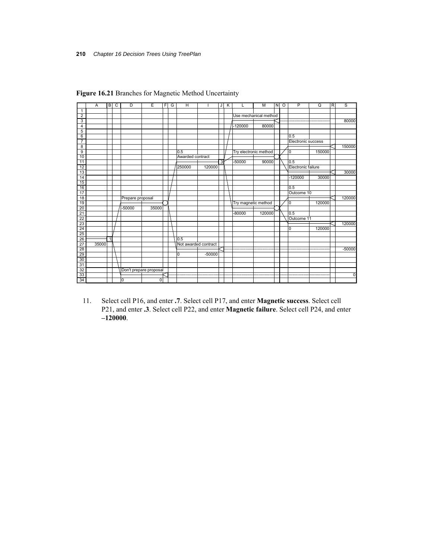|                 | Α     | B       | $\overline{c}$ | D                | Ε                      | $\overline{F}$ | G | $\overline{H}$       |          | J              | K | L                   | M                     | Z | $\circ$ | P                  | Q      | $\overline{R}$ | s        |
|-----------------|-------|---------|----------------|------------------|------------------------|----------------|---|----------------------|----------|----------------|---|---------------------|-----------------------|---|---------|--------------------|--------|----------------|----------|
| 1               |       |         |                |                  |                        |                |   |                      |          |                |   |                     |                       |   |         |                    |        |                |          |
| $\overline{2}$  |       |         |                |                  |                        |                |   |                      |          |                |   |                     | Use mechanical method |   |         |                    |        |                |          |
| 3               |       |         |                |                  |                        |                |   |                      |          |                |   |                     |                       |   |         |                    |        |                | 80000    |
| 4               |       |         |                |                  |                        |                |   |                      |          |                |   | $-120000$           | 80000                 |   |         |                    |        |                |          |
| 5               |       |         |                |                  |                        |                |   |                      |          |                |   |                     |                       |   |         |                    |        |                |          |
| 6               |       |         |                |                  |                        |                |   |                      |          |                |   |                     |                       |   |         | 0.5                |        |                |          |
| $\overline{7}$  |       |         |                |                  |                        |                |   |                      |          |                |   |                     |                       |   |         | Electronic success |        |                |          |
| 8               |       |         |                |                  |                        |                |   |                      |          |                |   |                     |                       |   |         |                    |        |                | 150000   |
| 9               |       |         |                |                  |                        |                |   | 0.5                  |          |                |   |                     | Try electronic method |   |         | 0                  | 150000 |                |          |
| 10              |       |         |                |                  |                        |                |   | Awarded contract     |          |                |   |                     |                       |   |         |                    |        |                |          |
| 11              |       |         |                |                  |                        |                |   |                      |          | $\overline{3}$ |   | $-50000$            | 90000                 |   |         | 0.5                |        |                |          |
| 12              |       |         |                |                  |                        |                |   | 250000               | 120000   |                |   |                     |                       |   |         | Electronic failure |        |                |          |
| 13              |       |         |                |                  |                        |                |   |                      |          |                |   |                     |                       |   |         |                    |        |                | 30000    |
| 14              |       |         |                |                  |                        |                |   |                      |          |                |   |                     |                       |   |         | -120000            | 30000  |                |          |
| 15              |       |         |                |                  |                        |                |   |                      |          |                |   |                     |                       |   |         |                    |        |                |          |
| 16              |       |         |                |                  |                        |                |   |                      |          |                |   |                     |                       |   |         | 0.5                |        |                |          |
| 17              |       |         |                |                  |                        |                |   |                      |          |                |   |                     |                       |   |         | Outcome 10         |        |                |          |
| 18              |       |         |                | Prepare proposal |                        |                |   |                      |          |                |   |                     |                       |   |         |                    |        |                | 120000   |
| 19              |       |         |                |                  |                        |                |   |                      |          |                |   | Try magnetic method |                       |   |         | 0                  | 120000 |                |          |
| $\overline{20}$ |       |         |                | -50000           | 35000                  |                |   |                      |          |                |   |                     |                       |   |         |                    |        |                |          |
| 21              |       |         |                |                  |                        |                |   |                      |          |                |   | $-80000$            | 120000                |   |         | 0.5                |        |                |          |
| $\overline{22}$ |       |         |                |                  |                        |                |   |                      |          |                |   |                     |                       |   |         | Outcome 11         |        |                |          |
| 23              |       |         |                |                  |                        |                |   |                      |          |                |   |                     |                       |   |         |                    |        |                | 120000   |
| 24              |       |         |                |                  |                        |                |   |                      |          |                |   |                     |                       |   |         | 0                  | 120000 |                |          |
| 25              |       |         |                |                  |                        |                |   |                      |          |                |   |                     |                       |   |         |                    |        |                |          |
| 26              |       | $\vert$ |                |                  |                        |                |   | $\overline{0.5}$     |          |                |   |                     |                       |   |         |                    |        |                |          |
| 27              | 35000 |         |                |                  |                        |                |   | Not awarded contract |          |                |   |                     |                       |   |         |                    |        |                |          |
| 28              |       |         |                |                  |                        |                |   |                      |          |                |   |                     |                       |   |         |                    |        |                | $-50000$ |
| 29              |       |         |                |                  |                        |                |   | l0                   | $-50000$ |                |   |                     |                       |   |         |                    |        |                |          |
| 30              |       |         |                |                  |                        |                |   |                      |          |                |   |                     |                       |   |         |                    |        |                |          |
| 31              |       |         |                |                  |                        |                |   |                      |          |                |   |                     |                       |   |         |                    |        |                |          |
| 32              |       |         |                |                  | Don't prepare proposal |                |   |                      |          |                |   |                     |                       |   |         |                    |        |                |          |
| 33              |       |         |                |                  |                        |                |   |                      |          |                |   |                     |                       |   |         |                    |        |                | 0        |
| 34              |       |         |                | $\mathbf 0$      | 0                      |                |   |                      |          |                |   |                     |                       |   |         |                    |        |                |          |

**Figure 16.21** Branches for Magnetic Method Uncertainty

 11. Select cell P16, and enter **.7**. Select cell P17, and enter **Magnetic success**. Select cell P21, and enter **.3**. Select cell P22, and enter **Magnetic failure**. Select cell P24, and enter **–120000**.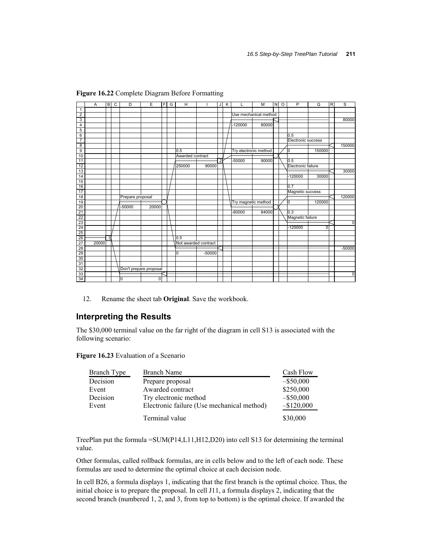|                 | A     | B            | $\overline{c}$ | D                      | E     | F | G | $\overline{H}$   |                      | J              | $\overline{\mathsf{K}}$ | L                     | M                     | N | $\overline{O}$ | P                  | Q           | R | s              |
|-----------------|-------|--------------|----------------|------------------------|-------|---|---|------------------|----------------------|----------------|-------------------------|-----------------------|-----------------------|---|----------------|--------------------|-------------|---|----------------|
| 1               |       |              |                |                        |       |   |   |                  |                      |                |                         |                       |                       |   |                |                    |             |   |                |
| $\overline{2}$  |       |              |                |                        |       |   |   |                  |                      |                |                         |                       | Use mechanical method |   |                |                    |             |   |                |
| 3               |       |              |                |                        |       |   |   |                  |                      |                |                         |                       |                       |   |                |                    |             |   | 80000          |
| 4               |       |              |                |                        |       |   |   |                  |                      |                |                         | $-120000$             | 80000                 |   |                |                    |             |   |                |
| 5               |       |              |                |                        |       |   |   |                  |                      |                |                         |                       |                       |   |                |                    |             |   |                |
| 6               |       |              |                |                        |       |   |   |                  |                      |                |                         |                       |                       |   |                | 0.5                |             |   |                |
| $\overline{7}$  |       |              |                |                        |       |   |   |                  |                      |                |                         |                       |                       |   |                | Electronic success |             |   |                |
| 8               |       |              |                |                        |       |   |   |                  |                      |                |                         |                       |                       |   |                |                    |             |   | 150000         |
| 9               |       |              |                |                        |       |   |   | 0.5              |                      |                |                         | Try electronic method |                       |   |                | $\overline{0}$     | 150000      |   |                |
| 10              |       |              |                |                        |       |   |   | Awarded contract |                      |                |                         |                       |                       |   |                |                    |             |   |                |
| 11              |       |              |                |                        |       |   |   |                  |                      | 2 <sup>1</sup> |                         | $-50000$              | 90000                 |   |                | 0.5                |             |   |                |
| 12              |       |              |                |                        |       |   |   | 250000           | 90000                |                |                         |                       |                       |   |                | Electronic failure |             |   |                |
| 13              |       |              |                |                        |       |   |   |                  |                      |                |                         |                       |                       |   |                |                    |             |   | 30000          |
| 14              |       |              |                |                        |       |   |   |                  |                      |                |                         |                       |                       |   |                | $-120000$          | 30000       |   |                |
| 15              |       |              |                |                        |       |   |   |                  |                      |                |                         |                       |                       |   |                |                    |             |   |                |
| 16              |       |              |                |                        |       |   |   |                  |                      |                |                         |                       |                       |   |                | 0.7                |             |   |                |
| 17              |       |              |                |                        |       |   |   |                  |                      |                |                         |                       |                       |   |                | Magnetic success   |             |   |                |
| 18              |       |              |                | Prepare proposal       |       |   |   |                  |                      |                |                         |                       |                       |   |                |                    |             |   | 120000         |
| 19              |       |              |                |                        |       |   |   |                  |                      |                |                         | Try magnetic method   |                       |   |                | 0                  | 120000      |   |                |
| 20              |       |              |                | $-50000$               | 20000 |   |   |                  |                      |                |                         |                       |                       |   |                |                    |             |   |                |
| 21              |       |              |                |                        |       |   |   |                  |                      |                |                         | $-80000$              | 84000                 |   |                | $\overline{0.3}$   |             |   |                |
| 22              |       |              |                |                        |       |   |   |                  |                      |                |                         |                       |                       |   |                | Magnetic failure   |             |   |                |
| 23              |       |              |                |                        |       |   |   |                  |                      |                |                         |                       |                       |   |                |                    |             |   | $\mathbf 0$    |
| 24              |       |              |                |                        |       |   |   |                  |                      |                |                         |                       |                       |   |                | $-120000$          | $\mathbf 0$ |   |                |
| 25              |       |              |                |                        |       |   |   |                  |                      |                |                         |                       |                       |   |                |                    |             |   |                |
| 26              |       | $\mathbf{1}$ |                |                        |       |   |   | 0.5              |                      |                |                         |                       |                       |   |                |                    |             |   |                |
| 27              | 20000 |              |                |                        |       |   |   |                  | Not awarded contract |                |                         |                       |                       |   |                |                    |             |   |                |
| 28              |       |              |                |                        |       |   |   |                  |                      |                |                         |                       |                       |   |                |                    |             |   | $-50000$       |
| 29              |       |              |                |                        |       |   |   | I٥               | $-50000$             |                |                         |                       |                       |   |                |                    |             |   |                |
| $\overline{30}$ |       |              |                |                        |       |   |   |                  |                      |                |                         |                       |                       |   |                |                    |             |   |                |
| 31              |       |              |                |                        |       |   |   |                  |                      |                |                         |                       |                       |   |                |                    |             |   |                |
| 32              |       |              |                | Don't prepare proposal |       |   |   |                  |                      |                |                         |                       |                       |   |                |                    |             |   |                |
| 33              |       |              |                |                        |       |   |   |                  |                      |                |                         |                       |                       |   |                |                    |             |   | $\overline{0}$ |
| 34              |       |              |                | I٥                     | 0     |   |   |                  |                      |                |                         |                       |                       |   |                |                    |             |   |                |

#### **Figure 16.22** Complete Diagram Before Formatting

12. Rename the sheet tab **Original**. Save the workbook.

#### **Interpreting the Results**

The \$30,000 terminal value on the far right of the diagram in cell S13 is associated with the following scenario:

**Figure 16.23** Evaluation of a Scenario

| Branch Type | <b>Branch Name</b>                         | Cash Flow    |
|-------------|--------------------------------------------|--------------|
| Decision    | Prepare proposal                           | $-$ \$50,000 |
| Event       | Awarded contract                           | \$250,000    |
| Decision    | Try electronic method                      | $-$ \$50,000 |
| Event       | Electronic failure (Use mechanical method) | $-$120,000$  |
|             | Terminal value                             | \$30,000     |

TreePlan put the formula =SUM(P14,L11,H12,D20) into cell S13 for determining the terminal value.

Other formulas, called rollback formulas, are in cells below and to the left of each node. These formulas are used to determine the optimal choice at each decision node.

In cell B26, a formula displays 1, indicating that the first branch is the optimal choice. Thus, the initial choice is to prepare the proposal. In cell J11, a formula displays 2, indicating that the second branch (numbered 1, 2, and 3, from top to bottom) is the optimal choice. If awarded the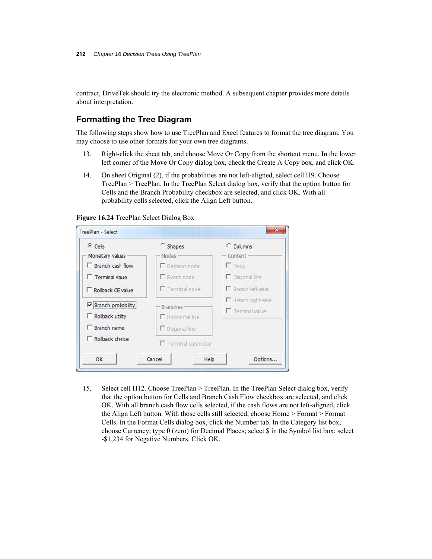contract, DriveTek should try the electronic method. A subsequent chapter provides more details about interpretation.

#### **F Formatting the Tree D Diagram**

The following steps show how to use TreePlan and Excel features to format the tree diagram. You may choose to use other formats for your own tree diagrams.

- 13. Right-click the sheet tab, and choose Move Or Copy from the shortcut menu. In the lower left corner of the Move Or Copy dialog box, check the Create A Copy box, and click OK.
- 14. On sheet Original (2), if the probabilities are not left-aligned, select cell H9. Choose TreePlan > TreePlan. In the TreePlan Select dialog box, verify that the option button for Cells and the Branch Probability checkbox are selected, and click OK. With all probability cells selected, click the Align Left button.

| $\epsilon$ Cells                   | <b>C</b> Shapes    | C Columns               |
|------------------------------------|--------------------|-------------------------|
| Monetary values                    | Nodes ·            | Content                 |
| Branch cash flow                   | Decision node      | $N$ ode                 |
| $\Box$ Terminal value              | $\Box$ Event node  | $\Box$ Diagonal line    |
| Rollback CE value                  | Terminal node      | Branch left-side        |
| $\triangledown$ Branch probability | - Branches         | □ Branch right-side     |
| Rollback utility                   | □ Horizontal line  | $\Gamma$ Terminal value |
| Branch name                        | Diagonal line      |                         |
| Rollback choice                    | Terminal connector |                         |
| OK                                 | Cancel<br>Help     | Options                 |

#### Figure 16.24 TreePlan Select Dialog Box

15. Select cell H12. Choose TreePlan > TreePlan. In the TreePlan Select dialog box, verify that the option button for Cells and Branch Cash Flow checkbox are selected, and click OK. With all branch cash flow cells selected, if the cash flows are not left-aligned, click the Align Left button. With those cells still selected, choose Home > Format > Format Cells. In the Format Cells dialog box, click the Number tab. In the Category list box, choose Currency; type  $\theta$  (zero) for Decimal Places; select \$ in the Symbol list box; select -\$1,234 for Negative Numbers. Click OK.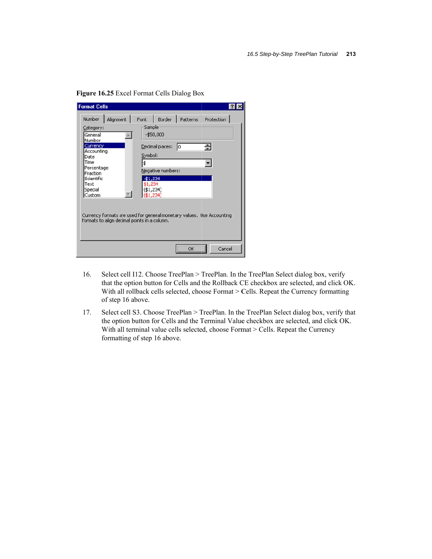| <b>Number</b>                                                                                                                                 |                                              |                              |                                                                                |    | Alignment   Font   Border   Patterns   Protection                               |
|-----------------------------------------------------------------------------------------------------------------------------------------------|----------------------------------------------|------------------------------|--------------------------------------------------------------------------------|----|---------------------------------------------------------------------------------|
| Category:<br>General<br>Number<br>Currency<br>Accounting<br>Date<br>Time<br>Percentage<br>Fraction<br>Scientific<br>Text<br>Special<br>Custom |                                              | Sample<br>Symbol:<br>\$1,234 | $-$ \$50,000<br>Decimal places:<br>Negative numbers:<br>$-41,234$<br>(41, 234) | ıю | ÷                                                                               |
|                                                                                                                                               | formats to align decimal points in a column. |                              | ( \$1,234)                                                                     | OK | Currency formats are used for general monetary values. Use Accounting<br>Cancel |

- 16. Select cell I12. Choose TreePlan > TreePlan. In the TreePlan Select dialog box, verify that the option button for Cells and the Rollback CE checkbox are selected, and click OK. With all rollback cells selected, choose Format > Cells. Repeat the Currency formatting of step 16 above.
- 17. Select cell S3. Choose TreePlan > TreePlan. In the TreePlan Select dialog box, verify that the opt ion button for Cells and the T Terminal Value e checkbox are e selected, and click OK. With all terminal value cells selected, choose Format > Cells. Repeat the Currency formatting of step 16 above.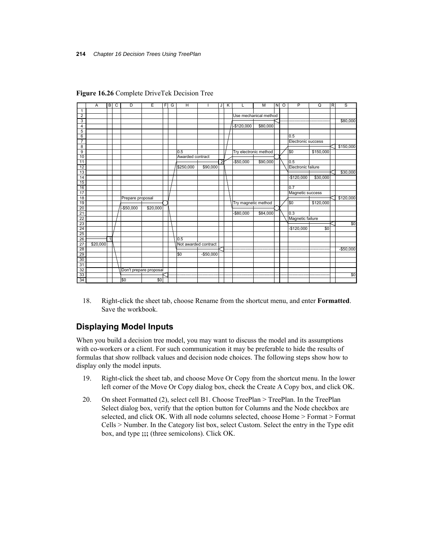|                | $\overline{A}$ | B       | C | D                | E                      | F | G | H                    |            | J              | K | L                     | M        | Z | $\circ$ | P                  | Q         | R. | s          |
|----------------|----------------|---------|---|------------------|------------------------|---|---|----------------------|------------|----------------|---|-----------------------|----------|---|---------|--------------------|-----------|----|------------|
| $\mathbf{1}$   |                |         |   |                  |                        |   |   |                      |            |                |   |                       |          |   |         |                    |           |    |            |
| $\overline{2}$ |                |         |   |                  |                        |   |   |                      |            |                |   | Use mechanical method |          |   |         |                    |           |    |            |
| 3              |                |         |   |                  |                        |   |   |                      |            |                |   |                       |          |   |         |                    |           |    | \$80,000   |
| $\overline{4}$ |                |         |   |                  |                        |   |   |                      |            |                |   | $-$120,000$           | \$80,000 |   |         |                    |           |    |            |
| 5              |                |         |   |                  |                        |   |   |                      |            |                |   |                       |          |   |         |                    |           |    |            |
| 6              |                |         |   |                  |                        |   |   |                      |            |                |   |                       |          |   |         | 0.5                |           |    |            |
| $\overline{7}$ |                |         |   |                  |                        |   |   |                      |            |                |   |                       |          |   |         | Electronic success |           |    |            |
| 8              |                |         |   |                  |                        |   |   |                      |            |                |   |                       |          |   |         |                    |           |    | \$150,000  |
| 9              |                |         |   |                  |                        |   |   | 0.5                  |            |                |   | Try electronic method |          |   |         | \$0                | \$150,000 |    |            |
| 10             |                |         |   |                  |                        |   |   | Awarded contract     |            |                |   |                       |          |   |         |                    |           |    |            |
| 11             |                |         |   |                  |                        |   |   |                      |            | $\overline{2}$ |   | $-$50,000$            | \$90,000 |   |         | 0.5                |           |    |            |
| 12             |                |         |   |                  |                        |   |   | \$250,000            | \$90,000   |                |   |                       |          |   |         | Electronic failure |           |    |            |
| 13             |                |         |   |                  |                        |   |   |                      |            |                |   |                       |          |   |         |                    |           |    | \$30,000   |
| 14             |                |         |   |                  |                        |   |   |                      |            |                |   |                       |          |   |         | $-$120.000$        | \$30,000  |    |            |
| 15             |                |         |   |                  |                        |   |   |                      |            |                |   |                       |          |   |         |                    |           |    |            |
| 16             |                |         |   |                  |                        |   |   |                      |            |                |   |                       |          |   |         | 0.7                |           |    |            |
| 17             |                |         |   |                  |                        |   |   |                      |            |                |   |                       |          |   |         | Magnetic success   |           |    |            |
| 18             |                |         |   | Prepare proposal |                        |   |   |                      |            |                |   |                       |          |   |         |                    |           |    | \$120,000  |
| 19             |                |         |   |                  |                        |   |   |                      |            |                |   | Try magnetic method   |          |   |         | \$0                | \$120,000 |    |            |
| 20             |                |         |   | $-$50,000$       | \$20,000               |   |   |                      |            |                |   |                       |          |   |         |                    |           |    |            |
| 21             |                |         |   |                  |                        |   |   |                      |            |                |   | $-$80,000$            | \$84,000 |   |         | 0.3                |           |    |            |
| 22             |                |         |   |                  |                        |   |   |                      |            |                |   |                       |          |   |         | Magnetic failure   |           |    |            |
| 23             |                |         |   |                  |                        |   |   |                      |            |                |   |                       |          |   |         |                    |           |    | \$0        |
| 24             |                |         |   |                  |                        |   |   |                      |            |                |   |                       |          |   |         | $-$120,000$        | \$0       |    |            |
| 25             |                |         |   |                  |                        |   |   |                      |            |                |   |                       |          |   |         |                    |           |    |            |
| 26             |                | $\vert$ |   |                  |                        |   |   | 0.5                  |            |                |   |                       |          |   |         |                    |           |    |            |
| 27             | \$20,000       |         |   |                  |                        |   |   | Not awarded contract |            |                |   |                       |          |   |         |                    |           |    |            |
| 28             |                |         |   |                  |                        |   |   |                      |            |                |   |                       |          |   |         |                    |           |    | $-$50,000$ |
| 29             |                |         |   |                  |                        |   |   | \$0                  | $-$50,000$ |                |   |                       |          |   |         |                    |           |    |            |
| 30             |                |         |   |                  |                        |   |   |                      |            |                |   |                       |          |   |         |                    |           |    |            |
| 31             |                |         |   |                  |                        |   |   |                      |            |                |   |                       |          |   |         |                    |           |    |            |
| 32             |                |         |   |                  | Don't prepare proposal |   |   |                      |            |                |   |                       |          |   |         |                    |           |    |            |
| 33             |                |         |   |                  |                        |   |   |                      |            |                |   |                       |          |   |         |                    |           |    | \$0        |
| 34             |                |         |   | \$0              | \$0                    |   |   |                      |            |                |   |                       |          |   |         |                    |           |    |            |

**Figure 16.26** Complete DriveTek Decision Tree

 18. Right-click the sheet tab, choose Rename from the shortcut menu, and enter **Formatted**. Save the workbook.

### **Displaying Model Inputs**

When you build a decision tree model, you may want to discuss the model and its assumptions with co-workers or a client. For such communication it may be preferable to hide the results of formulas that show rollback values and decision node choices. The following steps show how to display only the model inputs.

- 19. Right-click the sheet tab, and choose Move Or Copy from the shortcut menu. In the lower left corner of the Move Or Copy dialog box, check the Create A Copy box, and click OK.
- 20. On sheet Formatted (2), select cell B1. Choose TreePlan > TreePlan. In the TreePlan Select dialog box, verify that the option button for Columns and the Node checkbox are selected, and click OK. With all node columns selected, choose Home > Format > Format Cells > Number. In the Category list box, select Custom. Select the entry in the Type edit box, and type **;;;** (three semicolons). Click OK.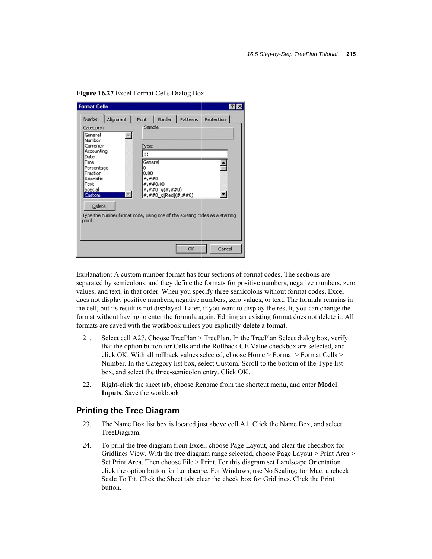| Category:          | Sample                                                                     |
|--------------------|----------------------------------------------------------------------------|
| General<br>Number  |                                                                            |
| Currency           | Lype:                                                                      |
| Accounting         | ززز                                                                        |
| Date<br>Time       | General                                                                    |
| Percentage         | 0                                                                          |
| Fraction           | 0.00                                                                       |
| Scientific<br>Text | #,##0<br>###0.00                                                           |
| Special            | #,##0_);(#,##0)                                                            |
| Custom             | $\#$ , ##0 $;$ [Red](#, ##0)                                               |
| Delete             |                                                                            |
|                    |                                                                            |
| point.             | Type the number format code, using one of the existing codes as a starting |
|                    |                                                                            |
|                    |                                                                            |

Figure 16.27 Excel Format Cells Dialog Box

Explanation: A custom number format has four sections of format codes. The sections are separated by semicolons, and they define the formats for positive numbers, negative numbers, zero values, and text, in that order. When you specify three semicolons without format codes, Excel does not display positive numbers, negative numbers, zero values, or text. The formula remains in the cell, but its result is not displayed. Later, if you want to display the result, you can change the format without having to enter the formula again. Editing an existing format does not delete it. All formats are saved with the workbook unless you explicitly delete a format.

- Select cell A27. Choose TreePlan > TreePlan. In the TreePlan Select dialog box, verify 21. that the option button for Cells and the Rollback CE Value checkbox are selected, and click OK. With all rollback values selected, choose Home > Format > Format Cells > Number. In the Category list box, select Custom. Scroll to the bottom of the Type list box, and select the three-semicolon entry. Click OK.
- 22. Right-click the sheet tab, choose Rename from the shortcut menu, and enter Model Inputs. Save the workbook.

#### **Printing the Tree Diagram**

- 23. The Name Box list box is located just above cell A1. Click the Name Box, and select TreeDiagram.
- 24. To print the tree diagram from Excel, choose Page Layout, and clear the checkbox for Gridlines View. With the tree diagram range selected, choose Page Layout > Print Area > Set Print Area. Then choose File > Print. For this diagram set Landscape Orientation click the option button for Landscape. For Windows, use No Scaling; for Mac, uncheck Scale To Fit. Click the Sheet tab; clear the check box for Gridlines. Click the Print button.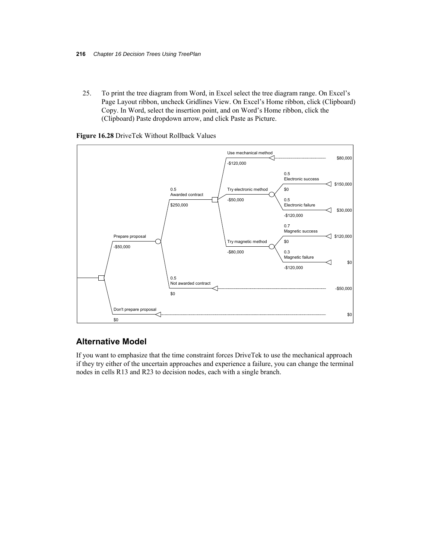25. To print the tree diagram from Word, in Excel select the tree diagram range. On Excel's Page Layout ribbon, uncheck Gridlines View. On Excel's Home ribbon, click (Clipboard) Copy. In Word, select the insertion point, and on Word's Home ribbon, click the (Clipboard) Paste dropdown arrow, and click Paste as Picture.

**Figure 16.28** DriveTek Without Rollback Values



## **Alternative Model**

If you want to emphasize that the time constraint forces DriveTek to use the mechanical approach if they try either of the uncertain approaches and experience a failure, you can change the terminal nodes in cells R13 and R23 to decision nodes, each with a single branch.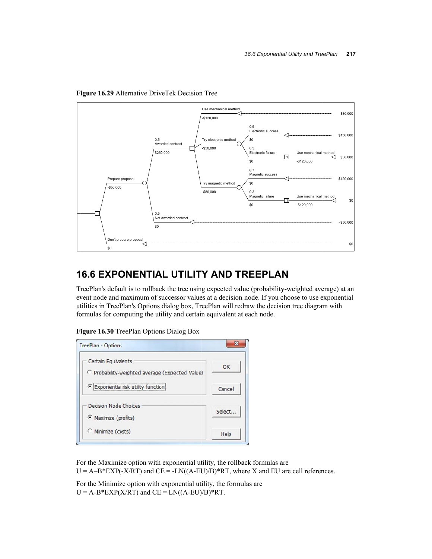



## **16.6 EXPONENTIAL UTILITY AND TREEPLAN**

TreePlan's default is to rollback the tree using expected value (probability-weighted average) at an event node and maximum of successor values at a decision node. If you choose to use exponential utilities in TreePlan's Options dialog box, TreePlan will redraw the decision tree diagram with formulas for computing the utility and certain equivalent at each node.

Figure 16.30 TreePlan Options Dialog Box

| <b>TreePlan - Options</b>                                            |        |
|----------------------------------------------------------------------|--------|
| Certain Equivalents<br>Probability-weighted average (Expected Value) | OK     |
| Exponential risk utility function                                    | Cancel |
| Decision Node Choices<br>Maximize (profits)                          | Select |
| C Minimize (costs)                                                   | Help   |

For the Maximize option with exponential utility, the rollback formulas are  $U = A-B*EXP(X/RT)$  and  $CE = -LN((A-EU)/B)*RT$ , where X and EU are cell references.

For the Minimize option with exponential utility, the formulas are  $U = A-B*EXP(X/RT)$  and  $CE = LN((A-EU)/B)*RT$ .